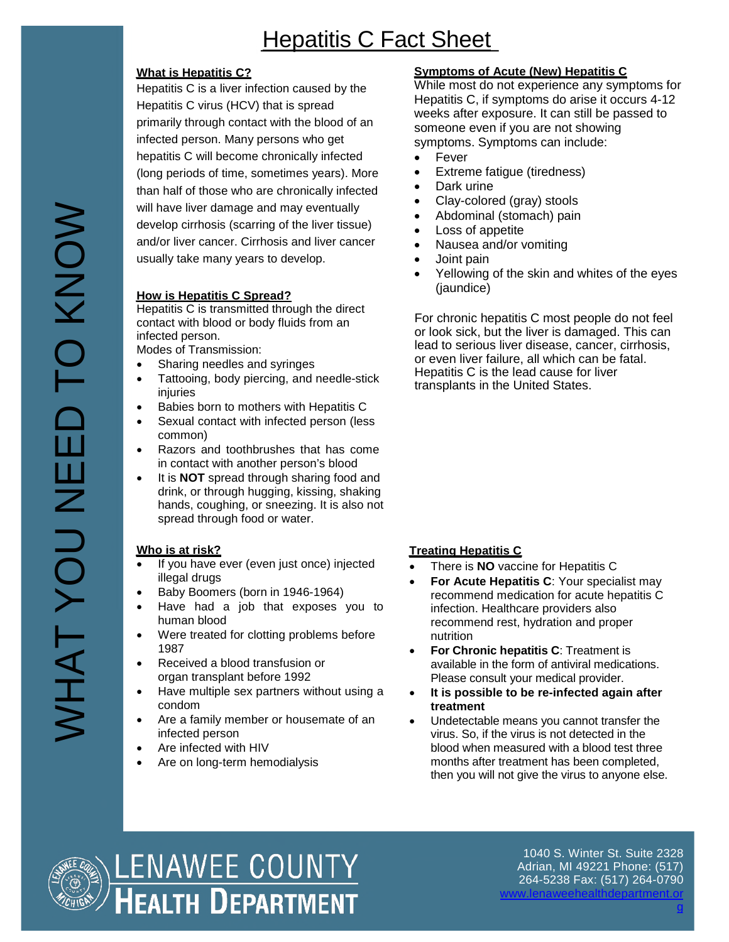# Hepatitis C Fact Sheet

## **What is Hepatitis C?**

Hepatitis C is a liver infection caused by the Hepatitis C virus (HCV) that is spread primarily through contact with the blood of an infected person. Many persons who get hepatitis C will become chronically infected (long periods of time, sometimes years). More than half of those who are chronically infected will have liver damage and may eventually develop cirrhosis (scarring of the liver tissue) and/or liver cancer. Cirrhosis and liver cancer usually take many years to develop.

### **How is Hepatitis C Spread?**

Hepatitis C is transmitted through the direct contact with blood or body fluids from an infected person.

Modes of Transmission:

- Sharing needles and syringes
- Tattooing, body piercing, and needle-stick injuries
- Babies born to mothers with Hepatitis C
- Sexual contact with infected person (less common)
- Razors and toothbrushes that has come in contact with another person's blood
- It is **NOT** spread through sharing food and drink, or through hugging, kissing, shaking hands, coughing, or sneezing. It is also not spread through food or water.

# **Who is at risk?**

- If you have ever (even just once) injected illegal drugs
- Baby Boomers (born in 1946-1964)
- Have had a job that exposes you to human blood
- Were treated for clotting problems before 1987
- Received a blood transfusion or organ transplant before 1992
- Have multiple sex partners without using a condom
- Are a family member or housemate of an infected person
- Are infected with HIV
- Are on long-term hemodialysis

## **Symptoms of Acute (New) Hepatitis C**

While most do not experience any symptoms for Hepatitis C, if symptoms do arise it occurs 4-12 weeks after exposure. It can still be passed to someone even if you are not showing symptoms. Symptoms can include:

- Fever
- Extreme fatigue (tiredness)
- Dark urine
- Clay-colored (gray) stools
- Abdominal (stomach) pain
- Loss of appetite
- Nausea and/or vomiting
- Joint pain
- Yellowing of the skin and whites of the eyes (jaundice)

For chronic hepatitis C most people do not feel or look sick, but the liver is damaged. This can lead to serious liver disease, cancer, cirrhosis, or even liver failure, all which can be fatal. Hepatitis C is the lead cause for liver transplants in the United States.

# **Treating Hepatitis C**

- There is **NO** vaccine for Hepatitis C
- **For Acute Hepatitis C**: Your specialist may recommend medication for acute hepatitis C infection. Healthcare providers also recommend rest, hydration and proper nutrition
- **For Chronic hepatitis C**: Treatment is available in the form of antiviral medications. Please consult your medical provider.
- **It is possible to be re-infected again after treatment**
- Undetectable means you cannot transfer the virus. So, if the virus is not detected in the blood when measured with a blood test three months after treatment has been completed, then you will not give the virus to anyone else.



1040 S. Winter St. Suite 2328 Adrian, MI 49221 Phone: (517) 264-5238 Fax: (517) 264-0790 [www.lenaweehealthdepartment.or](http://www.lenaweehealthdepartment.org/)

[g](http://www.lenaweehealthdepartment.org/)